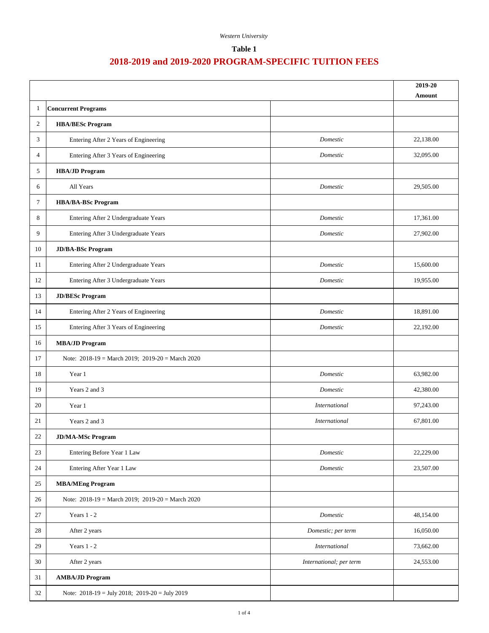## **Table 1**

|                |                                                      |                         | 2019-20<br>Amount |  |
|----------------|------------------------------------------------------|-------------------------|-------------------|--|
| -1             | <b>Concurrent Programs</b>                           |                         |                   |  |
| 2              | <b>HBA/BESc Program</b>                              |                         |                   |  |
| 3              | Entering After 2 Years of Engineering                | Domestic                | 22,138.00         |  |
| $\overline{4}$ | Entering After 3 Years of Engineering                | Domestic                | 32,095.00         |  |
| 5              | <b>HBA/JD Program</b>                                |                         |                   |  |
| 6              | All Years                                            | Domestic                | 29,505.00         |  |
| 7              | <b>HBA/BA-BSc Program</b>                            |                         |                   |  |
| 8              | Entering After 2 Undergraduate Years                 | Domestic                | 17,361.00         |  |
| 9              | Entering After 3 Undergraduate Years                 | Domestic                | 27,902.00         |  |
| 10             | <b>JD/BA-BSc Program</b>                             |                         |                   |  |
| 11             | Entering After 2 Undergraduate Years                 | Domestic                | 15,600.00         |  |
| 12             | Entering After 3 Undergraduate Years                 | Domestic                | 19,955.00         |  |
| 13             | <b>JD/BESc Program</b>                               |                         |                   |  |
| 14             | Entering After 2 Years of Engineering                | Domestic                | 18,891.00         |  |
| 15             | Entering After 3 Years of Engineering                | Domestic                | 22,192.00         |  |
| 16             | <b>MBA/JD Program</b>                                |                         |                   |  |
| 17             | Note: $2018-19$ = March 2019; $2019-20$ = March 2020 |                         |                   |  |
| 18             | Year 1                                               | Domestic                | 63,982.00         |  |
| 19             | Years 2 and 3                                        | Domestic                | 42,380.00         |  |
| 20             | Year 1                                               | International           | 97,243.00         |  |
| 21             | Years 2 and 3                                        | International           | 67,801.00         |  |
| $22\,$         | <b>JD/MA-MSc Program</b>                             |                         |                   |  |
| 23             | Entering Before Year 1 Law                           | Domestic                | 22,229.00         |  |
| 24             | Entering After Year 1 Law                            | Domestic                | 23,507.00         |  |
| 25             | <b>MBA/MEng Program</b>                              |                         |                   |  |
| 26             | Note: $2018-19$ = March 2019; $2019-20$ = March 2020 |                         |                   |  |
| 27             | Years $1 - 2$                                        | Domestic                | 48,154.00         |  |
| 28             | After 2 years                                        | Domestic; per term      | 16,050.00         |  |
| 29             | Years $1 - 2$                                        | <i>International</i>    | 73,662.00         |  |
| 30             | After 2 years                                        | International; per term | 24,553.00         |  |
| 31             | <b>AMBA/JD Program</b>                               |                         |                   |  |
| 32             | Note: $2018-19 =$ July 2018; $2019-20 =$ July 2019   |                         |                   |  |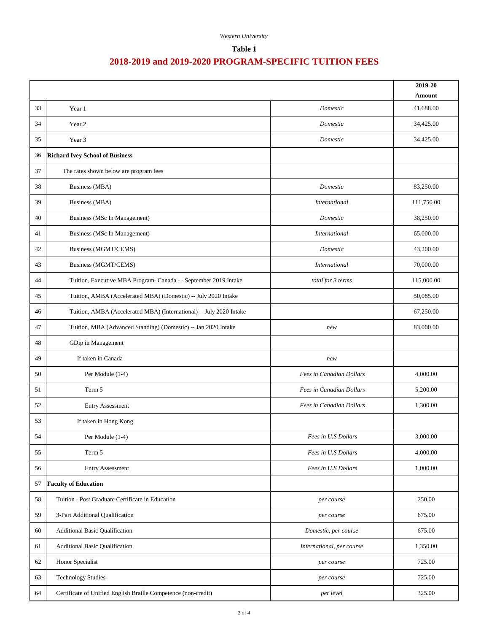## **Table 1**

|    |                                                                     |                           | 2019-20<br>Amount |
|----|---------------------------------------------------------------------|---------------------------|-------------------|
| 33 | Year 1                                                              | Domestic                  | 41,688.00         |
| 34 | Year 2                                                              | Domestic                  | 34,425.00         |
| 35 | Year 3                                                              | Domestic                  | 34,425.00         |
| 36 | <b>Richard Ivey School of Business</b>                              |                           |                   |
| 37 | The rates shown below are program fees                              |                           |                   |
| 38 | <b>Business</b> (MBA)                                               | Domestic                  | 83,250.00         |
| 39 | <b>Business (MBA)</b>                                               | <b>International</b>      | 111,750.00        |
| 40 | <b>Business (MSc In Management)</b>                                 | Domestic                  | 38,250.00         |
| 41 | Business (MSc In Management)                                        | International             | 65,000.00         |
| 42 | <b>Business (MGMT/CEMS)</b>                                         | Domestic                  | 43,200.00         |
| 43 | Business (MGMT/CEMS)                                                | <b>International</b>      | 70,000.00         |
| 44 | Tuition, Executive MBA Program- Canada - - September 2019 Intake    | total for 3 terms         | 115,000.00        |
| 45 | Tuition, AMBA (Accelerated MBA) (Domestic) -- July 2020 Intake      |                           | 50,085.00         |
| 46 | Tuition, AMBA (Accelerated MBA) (International) -- July 2020 Intake |                           | 67,250.00         |
| 47 | Tuition, MBA (Advanced Standing) (Domestic) -- Jan 2020 Intake      | new                       | 83,000.00         |
| 48 | GDip in Management                                                  |                           |                   |
| 49 | If taken in Canada                                                  | new                       |                   |
| 50 | Per Module (1-4)                                                    | Fees in Canadian Dollars  | 4,000.00          |
| 51 | Term 5                                                              | Fees in Canadian Dollars  | 5,200.00          |
| 52 | <b>Entry Assessment</b>                                             | Fees in Canadian Dollars  | 1,300.00          |
| 53 | If taken in Hong Kong                                               |                           |                   |
| 54 | Per Module (1-4)                                                    | Fees in U.S Dollars       | 3,000.00          |
| 55 | Term 5                                                              | Fees in U.S Dollars       | 4,000.00          |
| 56 | <b>Entry Assessment</b>                                             | Fees in U.S Dollars       | 1,000.00          |
| 57 | <b>Faculty of Education</b>                                         |                           |                   |
| 58 | Tuition - Post Graduate Certificate in Education                    | per course                | 250.00            |
| 59 | 3-Part Additional Qualification                                     | per course                | 675.00            |
| 60 | <b>Additional Basic Qualification</b>                               | Domestic, per course      | 675.00            |
| 61 | <b>Additional Basic Qualification</b>                               | International, per course | 1,350.00          |
| 62 | Honor Specialist                                                    | per course                | 725.00            |
| 63 | <b>Technology Studies</b>                                           | per course                | 725.00            |
| 64 | Certificate of Unified English Braille Competence (non-credit)      | per level                 | 325.00            |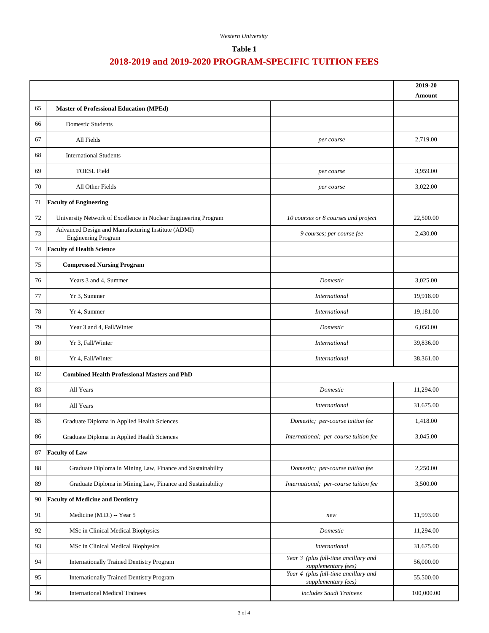## **Table 1**

|    |                                                                                  |                                                             | 2019-20<br>Amount |
|----|----------------------------------------------------------------------------------|-------------------------------------------------------------|-------------------|
| 65 | <b>Master of Professional Education (MPEd)</b>                                   |                                                             |                   |
| 66 | <b>Domestic Students</b>                                                         |                                                             |                   |
| 67 | All Fields                                                                       | per course                                                  | 2,719.00          |
| 68 | <b>International Students</b>                                                    |                                                             |                   |
| 69 | <b>TOESL Field</b>                                                               | per course                                                  | 3,959.00          |
| 70 | All Other Fields                                                                 | per course                                                  | 3,022.00          |
| 71 | <b>Faculty of Engineering</b>                                                    |                                                             |                   |
| 72 | University Network of Excellence in Nuclear Engineering Program                  | 10 courses or 8 courses and project                         | 22,500.00         |
| 73 | Advanced Design and Manufacturing Institute (ADMI)<br><b>Engineering Program</b> | 9 courses; per course fee                                   | 2,430.00          |
| 74 | <b>Faculty of Health Science</b>                                                 |                                                             |                   |
| 75 | <b>Compressed Nursing Program</b>                                                |                                                             |                   |
| 76 | Years 3 and 4, Summer                                                            | Domestic                                                    | 3,025.00          |
| 77 | Yr 3, Summer                                                                     | <i>International</i>                                        | 19,918.00         |
| 78 | Yr 4, Summer                                                                     | <i>International</i>                                        | 19,181.00         |
| 79 | Year 3 and 4, Fall/Winter                                                        | Domestic                                                    | 6,050.00          |
| 80 | Yr 3, Fall/Winter                                                                | <i>International</i>                                        | 39,836.00         |
| 81 | Yr 4, Fall/Winter                                                                | <i>International</i>                                        | 38,361.00         |
| 82 | <b>Combined Health Professional Masters and PhD</b>                              |                                                             |                   |
| 83 | All Years                                                                        | Domestic                                                    | 11,294.00         |
| 84 | All Years                                                                        | <i>International</i>                                        | 31,675.00         |
| 85 | Graduate Diploma in Applied Health Sciences                                      | Domestic; per-course tuition fee                            | 1,418.00          |
| 86 | Graduate Diploma in Applied Health Sciences                                      | International; per-course tuition fee                       | 3,045.00          |
| 87 | <b>Faculty of Law</b>                                                            |                                                             |                   |
| 88 | Graduate Diploma in Mining Law, Finance and Sustainability                       | Domestic; per-course tuition fee                            | 2,250.00          |
| 89 | Graduate Diploma in Mining Law, Finance and Sustainability                       | International; per-course tuition fee                       | 3,500.00          |
| 90 | <b>Faculty of Medicine and Dentistry</b>                                         |                                                             |                   |
| 91 | Medicine (M.D.) -- Year 5                                                        | new                                                         | 11,993.00         |
| 92 | MSc in Clinical Medical Biophysics                                               | Domestic                                                    | 11,294.00         |
| 93 | MSc in Clinical Medical Biophysics                                               | International                                               | 31,675.00         |
| 94 | <b>Internationally Trained Dentistry Program</b>                                 | Year 3 (plus full-time ancillary and<br>supplementary fees) | 56,000.00         |
| 95 | <b>Internationally Trained Dentistry Program</b>                                 | Year 4 (plus full-time ancillary and<br>supplementary fees) | 55,500.00         |
| 96 | <b>International Medical Trainees</b>                                            | includes Saudi Trainees                                     | 100,000.00        |